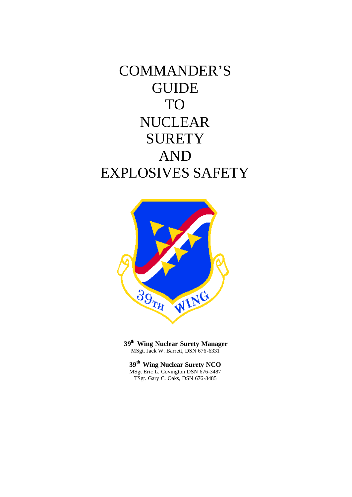COMMANDER'S GUIDE TO NUCLEAR **SURETY** AND EXPLOSIVES SAFETY



**39th Wing Nuclear Surety Manager** MSgt. Jack W. Barrett, DSN 676-6331

**39th Wing Nuclear Surety NCO** MSgt Eric L. Covington DSN 676-3487 TSgt. Gary C. Oaks, DSN 676-3485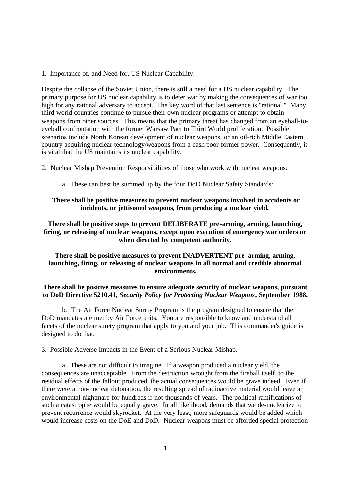1. Importance of, and Need for, US Nuclear Capability.

Despite the collapse of the Soviet Union, there is still a need for a US nuclear capability. The primary purpose for US nuclear capability is to deter war by making the consequences of war too high for any rational adversary to accept. The key word of that last sentence is "rational." Many third world countries continue to pursue their own nuclear programs or attempt to obtain weapons from other sources. This means that the primary threat has changed from an eyeball-toeyeball confrontation with the former Warsaw Pact to Third World proliferation. Possible scenarios include North Korean development of nuclear weapons, or an oil-rich Middle Eastern country acquiring nuclear technology/weapons from a cash-poor former power. Consequently, it is vital that the US maintains its nuclear capability.

2. Nuclear Mishap Prevention Responsibilities of those who work with nuclear weapons.

a. These can best be summed up by the four DoD Nuclear Safety Standards:

## **There shall be positive measures to prevent nuclear weapons involved in accidents or incidents, or jettisoned weapons, from producing a nuclear yield.**

**There shall be positive steps to prevent DELIBERATE pre -arming, arming, launching, firing, or releasing of nuclear weapons, except upon execution of emergency war orders or when directed by competent authority.**

**There shall be positive measures to prevent INADVERTENT pre -arming, arming, launching, firing, or releasing of nuclear weapons in all normal and credible abnormal environments.**

## **There shall be positive measures to ensure adequate security of nuclear weapons, pursuant to DoD Directive 5210.41,** *Security Policy for Protecting Nuclear Weapons***, September 1988.**

b. The Air Force Nuclear Surety Program is the program designed to ensure that the DoD mandates are met by Air Force units. You are responsible to know and understand all facets of the nuclear surety program that apply to you and your job. This commander's guide is designed to do that.

3. Possible Adverse Impacts in the Event of a Serious Nuclear Mishap.

a. These are not difficult to imagine. If a weapon produced a nuclear yield, the consequences are unacceptable. From the destruction wrought from the fireball itself, to the residual effects of the fallout produced, the actual consequences would be grave indeed. Even if there were a non-nuclear detonation, the resulting spread of radioactive material would leave an environmental nightmare for hundreds if not thousands of years. The political ramifications of such a catastrophe would be equally grave. In all likelihood, demands that we de-nuclearize to prevent recurrence would skyrocket. At the very least, more safeguards would be added which would increase costs on the DoE and DoD. Nuclear weapons must be afforded special protection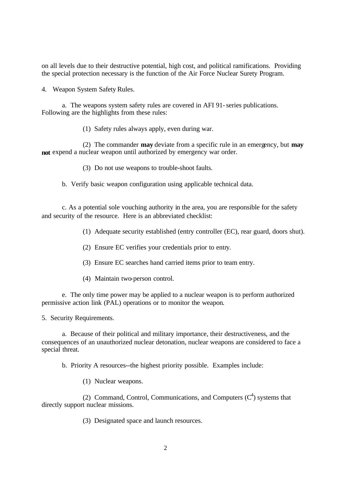on all levels due to their destructive potential, high cost, and political ramifications. Providing the special protection necessary is the function of the Air Force Nuclear Surety Program.

4. Weapon System Safety Rules.

a. The weapons system safety rules are covered in AFI 91- series publications. Following are the highlights from these rules:

(1) Safety rules always apply, even during war.

(2) The commander **may** deviate from a specific rule in an emergency, but **may not** expend a nuclear weapon until authorized by emergency war order.

(3) Do not use weapons to trouble-shoot faults.

b. Verify basic weapon configuration using applicable technical data.

c. As a potential sole vouching authority in the area, you are responsible for the safety and security of the resource. Here is an abbreviated checklist:

(1) Adequate security established (entry controller (EC), rear guard, doors shut).

- (2) Ensure EC verifies your credentials prior to entry.
- (3) Ensure EC searches hand carried items prior to team entry.
- (4) Maintain two-person control.

e. The only time power may be applied to a nuclear weapon is to perform authorized permissive action link (PAL) operations or to monitor the weapon.

5. Security Requirements.

a. Because of their political and military importance, their destructiveness, and the consequences of an unauthorized nuclear detonation, nuclear weapons are considered to face a special threat.

b. Priority A resources--the highest priority possible. Examples include:

(1) Nuclear weapons.

(2) Command, Control, Communications, and Computers  $(C<sup>4</sup>)$  systems that directly support nuclear missions.

(3) Designated space and launch resources.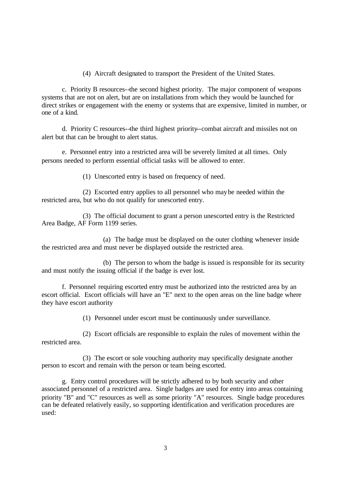(4) Aircraft designated to transport the President of the United States.

c. Priority B resources--the second highest priority. The major component of weapons systems that are not on alert, but are on installations from which they would be launched for direct strikes or engagement with the enemy or systems that are expensive, limited in number, or one of a kind.

d. Priority C resources--the third highest priority--combat aircraft and missiles not on alert but that can be brought to alert status.

e. Personnel entry into a restricted area will be severely limited at all times. Only persons needed to perform essential official tasks will be allowed to enter.

(1) Unescorted entry is based on frequency of need.

(2) Escorted entry applies to all personnel who may be needed within the restricted area, but who do not qualify for unescorted entry.

(3) The official document to grant a person unescorted entry is the Restricted Area Badge, AF Form 1199 series.

(a) The badge must be displayed on the outer clothing whenever inside the restricted area and must never be displayed outside the restricted area.

(b) The person to whom the badge is issued is responsible for its security and must notify the issuing official if the badge is ever lost.

f. Personnel requiring escorted entry must be authorized into the restricted area by an escort official. Escort officials will have an "E" next to the open areas on the line badge where they have escort authority

(1) Personnel under escort must be continuously under surveillance.

(2) Escort officials are responsible to explain the rules of movement within the restricted area.

(3) The escort or sole vouching authority may specifically designate another person to escort and remain with the person or team being escorted.

g. Entry control procedures will be strictly adhered to by both security and other associated personnel of a restricted area. Single badges are used for entry into areas containing priority "B" and "C" resources as well as some priority "A" resources. Single badge procedures can be defeated relatively easily, so supporting identification and verification procedures are used: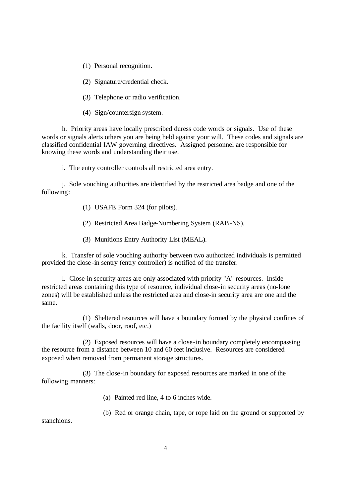(1) Personal recognition.

(2) Signature/credential check.

(3) Telephone or radio verification.

(4) Sign/countersign system.

h. Priority areas have locally prescribed duress code words or signals. Use of these words or signals alerts others you are being held against your will. These codes and signals are classified confidential IAW governing directives. Assigned personnel are responsible for knowing these words and understanding their use.

i. The entry controller controls all restricted area entry.

j. Sole vouching authorities are identified by the restricted area badge and one of the following:

- (1) USAFE Form 324 (for pilots).
- (2) Restricted Area Badge-Numbering System (RAB-NS).
- (3) Munitions Entry Authority List (MEAL).

k. Transfer of sole vouching authority between two authorized individuals is permitted provided the close -in sentry (entry controller) is notified of the transfer.

l. Close-in security areas are only associated with priority "A" resources. Inside restricted areas containing this type of resource, individual close-in security areas (no-lone zones) will be established unless the restricted area and close-in security area are one and the same.

(1) Sheltered resources will have a boundary formed by the physical confines of the facility itself (walls, door, roof, etc.)

(2) Exposed resources will have a close-in boundary completely encompassing the resource from a distance between 10 and 60 feet inclusive. Resources are considered exposed when removed from permanent storage structures.

(3) The close-in boundary for exposed resources are marked in one of the following manners:

(a) Painted red line, 4 to 6 inches wide.

(b) Red or orange chain, tape, or rope laid on the ground or supported by

stanchions.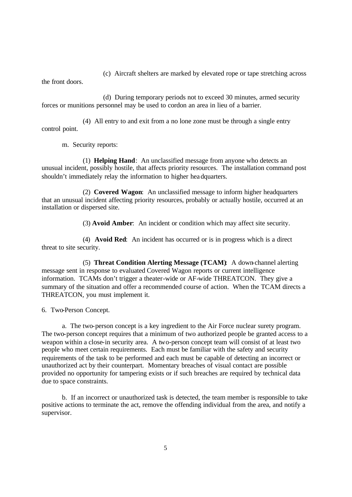(c) Aircraft shelters are marked by elevated rope or tape stretching across

the front doors.

(d) During temporary periods not to exceed 30 minutes, armed security forces or munitions personnel may be used to cordon an area in lieu of a barrier.

(4) All entry to and exit from a no lone zone must be through a single entry control point.

m. Security reports:

(1) **Helping Hand**: An unclassified message from anyone who detects an unusual incident, possibly hostile, that affects priority resources. The installation command post shouldn't immediately relay the information to higher headquarters.

(2) **Covered Wagon**: An unclassified message to inform higher headquarters that an unusual incident affecting priority resources, probably or actually hostile, occurred at an installation or dispersed site.

(3) **Avoid Amber**: An incident or condition which may affect site security.

(4) **Avoid Red**: An incident has occurred or is in progress which is a direct threat to site security.

(5) **Threat Condition Alerting Message (TCAM)**: A down-channel alerting message sent in response to evaluated Covered Wagon reports or current intelligence information. TCAMs don't trigger a theater-wide or AF-wide THREATCON. They give a summary of the situation and offer a recommended course of action. When the TCAM directs a THREATCON, you must implement it.

6. Two-Person Concept.

a. The two-person concept is a key ingredient to the Air Force nuclear surety program. The two-person concept requires that a minimum of two authorized people be granted access to a weapon within a close-in security area. A two-person concept team will consist of at least two people who meet certain requirements. Each must be familiar with the safety and security requirements of the task to be performed and each must be capable of detecting an incorrect or unauthorized act by their counterpart. Momentary breaches of visual contact are possible provided no opportunity for tampering exists or if such breaches are required by technical data due to space constraints.

b. If an incorrect or unauthorized task is detected, the team member is responsible to take positive actions to terminate the act, remove the offending individual from the area, and notify a supervisor.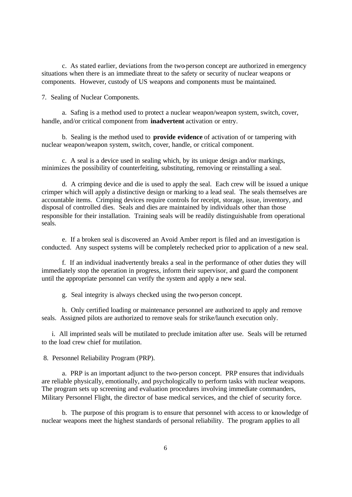c. As stated earlier, deviations from the two-person concept are authorized in emergency situations when there is an immediate threat to the safety or security of nuclear weapons or components. However, custody of US weapons and components must be maintained.

7. Sealing of Nuclear Components.

a. Safing is a method used to protect a nuclear weapon/weapon system, switch, cover, handle, and/or critical component from **inadvertent** activation or entry.

b. Sealing is the method used to **provide evidence** of activation of or tampering with nuclear weapon/weapon system, switch, cover, handle, or critical component.

c. A seal is a device used in sealing which, by its unique design and/or markings, minimizes the possibility of counterfeiting, substituting, removing or reinstalling a seal.

d. A crimping device and die is used to apply the seal. Each crew will be issued a unique crimper which will apply a distinctive design or marking to a lead seal. The seals themselves are accountable items. Crimping devices require controls for receipt, storage, issue, inventory, and disposal of controlled dies. Seals and dies are maintained by individuals other than those responsible for their installation. Training seals will be readily distinguishable from operational seals.

e. If a broken seal is discovered an Avoid Amber report is filed and an investigation is conducted. Any suspect systems will be completely rechecked prior to application of a new seal.

f. If an individual inadvertently breaks a seal in the performance of other duties they will immediately stop the operation in progress, inform their supervisor, and guard the component until the appropriate personnel can verify the system and apply a new seal.

g. Seal integrity is always checked using the two-person concept.

h. Only certified loading or maintenance personnel are authorized to apply and remove seals. Assigned pilots are authorized to remove seals for strike/launch execution only.

i. All imprinted seals will be mutilated to preclude imitation after use. Seals will be returned to the load crew chief for mutilation.

8. Personnel Reliability Program (PRP).

a. PRP is an important adjunct to the two-person concept. PRP ensures that individuals are reliable physically, emotionally, and psychologically to perform tasks with nuclear weapons. The program sets up screening and evaluation procedures involving immediate commanders, Military Personnel Flight, the director of base medical services, and the chief of security force.

b. The purpose of this program is to ensure that personnel with access to or knowledge of nuclear weapons meet the highest standards of personal reliability. The program applies to all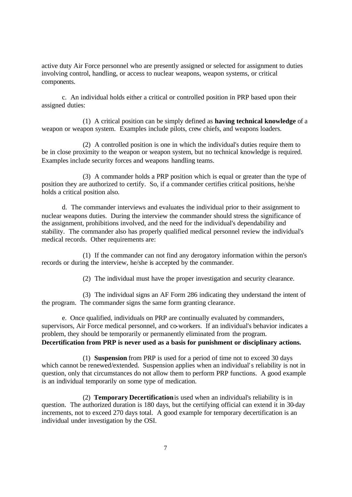active duty Air Force personnel who are presently assigned or selected for assignment to duties involving control, handling, or access to nuclear weapons, weapon systems, or critical components.

c. An individual holds either a critical or controlled position in PRP based upon their assigned duties:

(1) A critical position can be simply defined as **having technical knowledge** of a weapon or weapon system. Examples include pilots, crew chiefs, and weapons loaders.

(2) A controlled position is one in which the individual's duties require them to be in close proximity to the weapon or weapon system, but no technical knowledge is required. Examples include security forces and weapons handling teams.

(3) A commander holds a PRP position which is equal or greater than the type of position they are authorized to certify. So, if a commander certifies critical positions, he/she holds a critical position also.

d. The commander interviews and evaluates the individual prior to their assignment to nuclear weapons duties. During the interview the commander should stress the significance of the assignment, prohibitions involved, and the need for the individual's dependability and stability. The commander also has properly qualified medical personnel review the individual's medical records. Other requirements are:

(1) If the commander can not find any derogatory information within the person's records or during the interview, he/she is accepted by the commander.

(2) The individual must have the proper investigation and security clearance.

(3) The individual signs an AF Form 286 indicating they understand the intent of the program. The commander signs the same form granting clearance.

e. Once qualified, individuals on PRP are continually evaluated by commanders, supervisors, Air Force medical personnel, and co-workers. If an individual's behavior indicates a problem, they should be temporarily or permanently eliminated from the program. **Decertification from PRP is never used as a basis for punishment or disciplinary actions.**

(1) **Suspension** from PRP is used for a period of time not to exceed 30 days which cannot be renewed/extended. Suspension applies when an individual's reliability is not in question, only that circumstances do not allow them to perform PRP functions. A good example is an individual temporarily on some type of medication.

(2) **Temporary Decertification** is used when an individual's reliability is in question. The authorized duration is 180 days, but the certifying official can extend it in 30-day increments, not to exceed 270 days total. A good example for temporary decertification is an individual under investigation by the OSI.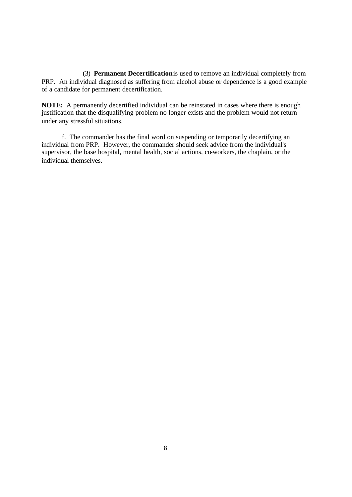(3) **Permanent Decertification** is used to remove an individual completely from PRP. An individual diagnosed as suffering from alcohol abuse or dependence is a good example of a candidate for permanent decertification.

**NOTE:** A permanently decertified individual can be reinstated in cases where there is enough justification that the disqualifying problem no longer exists and the problem would not return under any stressful situations.

f. The commander has the final word on suspending or temporarily decertifying an individual from PRP. However, the commander should seek advice from the individual's supervisor, the base hospital, mental health, social actions, co-workers, the chaplain, or the individual themselves.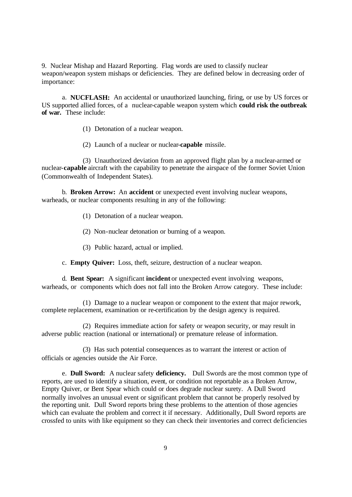9. Nuclear Mishap and Hazard Reporting. Flag words are used to classify nuclear weapon/weapon system mishaps or deficiencies. They are defined below in decreasing order of importance:

a. **NUCFLASH:** An accidental or unauthorized launching, firing, or use by US forces or US supported allied forces, of a nuclear-capable weapon system which **could risk the outbreak of war.** These include:

- (1) Detonation of a nuclear weapon.
- (2) Launch of a nuclear or nuclear-**capable** missile.

(3) Unauthorized deviation from an approved flight plan by a nuclear-armed or nuclear-**capable** aircraft with the capability to penetrate the airspace of the former Soviet Union (Commonwealth of Independent States).

b. **Broken Arrow:** An **accident** or unexpected event involving nuclear weapons, warheads, or nuclear components resulting in any of the following:

- (1) Detonation of a nuclear weapon.
- (2) Non-nuclear detonation or burning of a weapon.
- (3) Public hazard, actual or implied.
- c. **Empty Quiver:** Loss, theft, seizure, destruction of a nuclear weapon.

d. **Bent Spear:** A significant **incident** or unexpected event involving weapons, warheads, or components which does not fall into the Broken Arrow category. These include:

(1) Damage to a nuclear weapon or component to the extent that major rework, complete replacement, examination or re-certification by the design agency is required.

(2) Requires immediate action for safety or weapon security, or may result in adverse public reaction (national or international) or premature release of information.

(3) Has such potential consequences as to warrant the interest or action of officials or agencies outside the Air Force.

e. **Dull Sword:** A nuclear safety **deficiency.** Dull Swords are the most common type of reports, are used to identify a situation, event, or condition not reportable as a Broken Arrow, Empty Quiver, or Bent Spear which could or does degrade nuclear surety. A Dull Sword normally involves an unusual event or significant problem that cannot be properly resolved by the reporting unit. Dull Sword reports bring these problems to the attention of those agencies which can evaluate the problem and correct it if necessary. Additionally, Dull Sword reports are crossfed to units with like equipment so they can check their inventories and correct deficiencies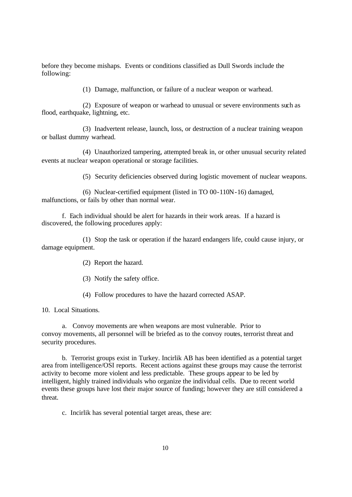before they become mishaps. Events or conditions classified as Dull Swords include the following:

(1) Damage, malfunction, or failure of a nuclear weapon or warhead.

(2) Exposure of weapon or warhead to unusual or severe environments such as flood, earthquake, lightning, etc.

(3) Inadvertent release, launch, loss, or destruction of a nuclear training weapon or ballast dummy warhead.

(4) Unauthorized tampering, attempted break in, or other unusual security related events at nuclear weapon operational or storage facilities.

(5) Security deficiencies observed during logistic movement of nuclear weapons.

(6) Nuclear-certified equipment (listed in TO 00-110N-16) damaged, malfunctions, or fails by other than normal wear.

f. Each individual should be alert for hazards in their work areas. If a hazard is discovered, the following procedures apply:

(1) Stop the task or operation if the hazard endangers life, could cause injury, or damage equipment.

(2) Report the hazard.

(3) Notify the safety office.

(4) Follow procedures to have the hazard corrected ASAP.

10. Local Situations.

a. Convoy movements are when weapons are most vulnerable. Prior to convoy movements, all personnel will be briefed as to the convoy routes, terrorist threat and security procedures.

b. Terrorist groups exist in Turkey. Incirlik AB has been identified as a potential target area from intelligence/OSI reports. Recent actions against these groups may cause the terrorist activity to become more violent and less predictable. These groups appear to be led by intelligent, highly trained individuals who organize the individual cells. Due to recent world events these groups have lost their major source of funding; however they are still considered a threat.

c. Incirlik has several potential target areas, these are: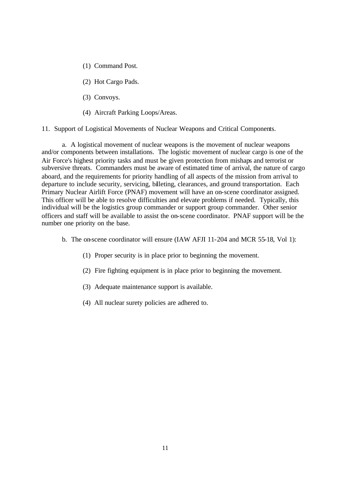- (1) Command Post.
- (2) Hot Cargo Pads.
- (3) Convoys.
- (4) Aircraft Parking Loops/Areas.

11. Support of Logistical Movements of Nuclear Weapons and Critical Components.

a. A logistical movement of nuclear weapons is the movement of nuclear weapons and/or components between installations. The logistic movement of nuclear cargo is one of the Air Force's highest priority tasks and must be given protection from mishaps and terrorist or subversive threats. Commanders must be aware of estimated time of arrival, the nature of cargo aboard, and the requirements for priority handling of all aspects of the mission from arrival to departure to include security, servicing, billeting, clearances, and ground transportation. Each Primary Nuclear Airlift Force (PNAF) movement will have an on-scene coordinator assigned. This officer will be able to resolve difficulties and elevate problems if needed. Typically, this individual will be the logistics group commander or support group commander. Other senior officers and staff will be available to assist the on-scene coordinator. PNAF support will be the number one priority on the base.

- b. The on-scene coordinator will ensure (IAW AFJI 11-204 and MCR 55-18, Vol 1):
	- (1) Proper security is in place prior to beginning the movement.
	- (2) Fire fighting equipment is in place prior to beginning the movement.
	- (3) Adequate maintenance support is available.
	- (4) All nuclear surety policies are adhered to.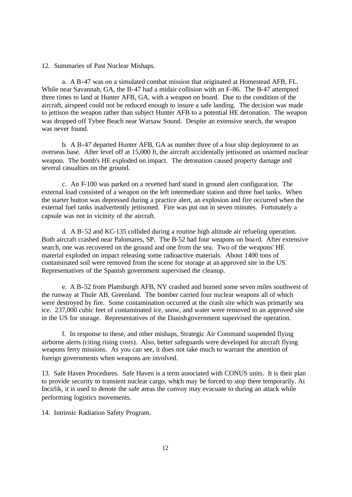12. Summaries of Past Nuclear Mishaps.

a. A B-47 was on a simulated combat mission that originated at Homestead AFB, FL. While near Savannah, GA, the B-47 had a midair collision with an F-86. The B-47 attempted three times to land at Hunter AFB, GA, with a weapon on board. Due to the condition of the aircraft, airspeed could not be reduced enough to insure a safe landing. The decision was made to jettison the weapon rather than subject Hunter AFB to a potential HE detonation. The weapon was dropped off Tybee Beach near Warsaw Sound. Despite an extensive search, the weapon was never found.

b. A B-47 departed Hunter AFB, GA as number three of a four ship deployment to an overseas base. After level off at 15,000 ft, the aircraft accidentally jettisoned an unarmed nuclear weapon. The bomb's HE exploded on impact. The detonation caused property damage and several casualties on the ground.

c. An F-100 was parked on a revetted hard stand in ground alert configuration. The external load consisted of a weapon on the left intermediate station and three fuel tanks. When the starter button was depressed during a practice alert, an explosion and fire occurred when the external fuel tanks inadvertently jettisoned. Fire was put out in seven minutes. Fortunately a capsule was not in vicinity of the aircraft.

d. A B-52 and KC-135 collided during a routine high altitude air refueling operation. Both aircraft crashed near Palomares, SP. The B-52 had four weapons on board. After extensive search, one was recovered on the ground and one from the sea. Two of the weapons' HE material exploded on impact releasing some radioactive materials. About 1400 tons of contaminated soil were removed from the scene for storage at an approved site in the US. Representatives of the Spanish government supervised the cleanup.

e. A B-52 from Plattsburgh AFB, NY crashed and burned some seven miles southwest of the runway at Thule AB, Greenland. The bomber carried four nuclear weapons all of which were destroyed by fire. Some contamination occurred at the crash site which was primarily sea ice. 237,000 cubic feet of contaminated ice, snow, and water were removed to an approved site in the US for storage. Representatives of the Danish government supervised the operation.

f. In response to these, and other mishaps, Strategic Air Command suspended flying airborne alerts (citing rising costs). Also, better safeguards were developed for aircraft flying weapons ferry missions. As you can see, it does not take much to warrant the attention of foreign governments when weapons are involved.

13. Safe Haven Procedures. Safe Haven is a term associated with CONUS units. It is their plan to provide security to transient nuclear cargo, which may be forced to stop there temporarily. At Incirlik, it is used to denote the safe areas the convoy may evacuate to during an attack while performing logistics movements.

14. Intrinsic Radiation Safety Program.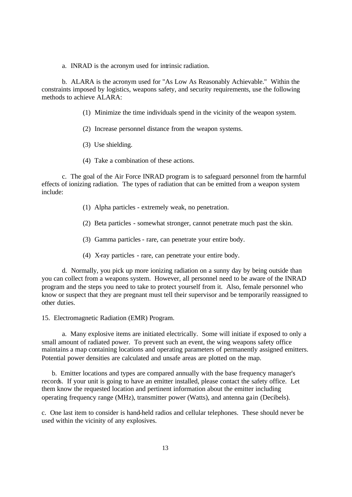a. INRAD is the acronym used for intrinsic radiation.

b. ALARA is the acronym used for "As Low As Reasonably Achievable." Within the constraints imposed by logistics, weapons safety, and security requirements, use the following methods to achieve ALARA:

- (1) Minimize the time individuals spend in the vicinity of the weapon system.
- (2) Increase personnel distance from the weapon systems.
- (3) Use shielding.
- (4) Take a combination of these actions.

c. The goal of the Air Force INRAD program is to safeguard personnel from the harmful effects of ionizing radiation. The types of radiation that can be emitted from a weapon system include:

- (1) Alpha particles extremely weak, no penetration.
- (2) Beta particles somewhat stronger, cannot penetrate much past the skin.
- (3) Gamma particles rare, can penetrate your entire body.
- (4) X-ray particles rare, can penetrate your entire body.

d. Normally, you pick up more ionizing radiation on a sunny day by being outside than you can collect from a weapons system. However, all personnel need to be aware of the INRAD program and the steps you need to take to protect yourself from it. Also, female personnel who know or suspect that they are pregnant must tell their supervisor and be temporarily reassigned to other duties.

15. Electromagnetic Radiation (EMR) Program.

a. Many explosive items are initiated electrically. Some will initiate if exposed to only a small amount of radiated power. To prevent such an event, the wing weapons safety office maintains a map containing locations and operating parameters of permanently assigned emitters. Potential power densities are calculated and unsafe areas are plotted on the map.

b. Emitter locations and types are compared annually with the base frequency manager's records. If your unit is going to have an emitter installed, please contact the safety office. Let them know the requested location and pertinent information about the emitter including operating frequency range (MHz), transmitter power (Watts), and antenna gain (Decibels).

c. One last item to consider is hand-held radios and cellular telephones. These should never be used within the vicinity of any explosives.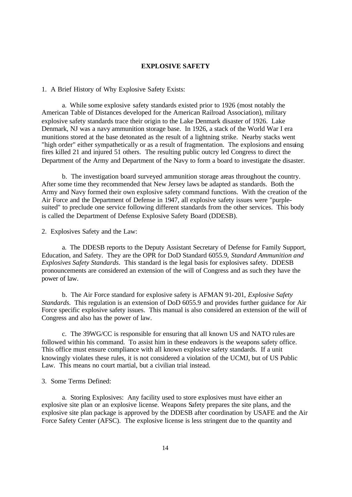#### **EXPLOSIVE SAFETY**

1. A Brief History of Why Explosive Safety Exists:

a. While some explosive safety standards existed prior to 1926 (most notably the American Table of Distances developed for the American Railroad Association), military explosive safety standards trace their origin to the Lake Denmark disaster of 1926. Lake Denmark, NJ was a navy ammunition storage base. In 1926, a stack of the World War I era munitions stored at the base detonated as the result of a lightning strike. Nearby stacks went "high order" either sympathetically or as a result of fragmentation. The explosions and ensuing fires killed 21 and injured 51 others. The resulting public outcry led Congress to direct the Department of the Army and Department of the Navy to form a board to investigate the disaster.

b. The investigation board surveyed ammunition storage areas throughout the country. After some time they recommended that New Jersey laws be adapted as standards. Both the Army and Navy formed their own explosive safety command functions. With the creation of the Air Force and the Department of Defense in 1947, all explosive safety issues were "purplesuited" to preclude one service following different standards from the other services. This body is called the Department of Defense Explosive Safety Board (DDESB).

2. Explosives Safety and the Law:

a. The DDESB reports to the Deputy Assistant Secretary of Defense for Family Support, Education, and Safety. They are the OPR for DoD Standard 6055.9, *Standard Ammunition and Explosives Safety Standards*. This standard is the legal basis for explosives safety. DDESB pronouncements are considered an extension of the will of Congress and as such they have the power of law.

b. The Air Force standard for explosive safety is AFMAN 91-201, *Explosive Safety Standards*. This regulation is an extension of DoD 6055.9 and provides further guidance for Air Force specific explosive safety issues. This manual is also considered an extension of the will of Congress and also has the power of law.

c. The 39WG/CC is responsible for ensuring that all known US and NATO rules are followed within his command. To assist him in these endeavors is the weapons safety office. This office must ensure compliance with all known explosive safety standards. If a unit knowingly violates these rules, it is not considered a violation of the UCMJ, but of US Public Law. This means no court martial, but a civilian trial instead.

## 3. Some Terms Defined:

a. Storing Explosives: Any facility used to store explosives must have either an explosive site plan or an explosive license. Weapons Safety prepares the site plans, and the explosive site plan package is approved by the DDESB after coordination by USAFE and the Air Force Safety Center (AFSC). The explosive license is less stringent due to the quantity and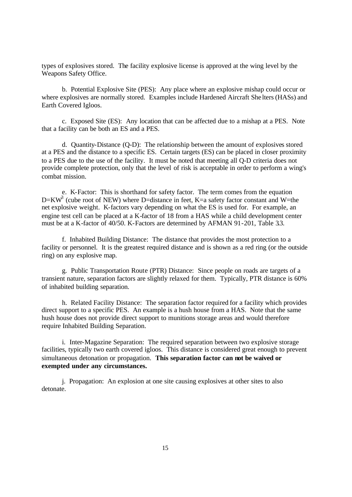types of explosives stored. The facility explosive license is approved at the wing level by the Weapons Safety Office.

b. Potential Explosive Site (PES): Any place where an explosive mishap could occur or where explosives are normally stored. Examples include Hardened Aircraft She lters (HASs) and Earth Covered Igloos.

c. Exposed Site (ES): Any location that can be affected due to a mishap at a PES. Note that a facility can be both an ES and a PES.

d. Quantity-Distance (Q-D): The relationship between the amount of explosives stored at a PES and the distance to a specific ES. Certain targets (ES) can be placed in closer proximity to a PES due to the use of the facility. It must be noted that meeting all Q-D criteria does not provide complete protection, only that the level of risk is acceptable in order to perform a wing's combat mission.

e. K-Factor: This is shorthand for safety factor. The term comes from the equation  $D=KW^3$  (cube root of NEW) where D=distance in feet, K=a safety factor constant and W=the net explosive weight. K-factors vary depending on what the ES is used for. For example, an engine test cell can be placed at a K-factor of 18 from a HAS while a child development center must be at a K-factor of 40/50. K-Factors are determined by AFMAN 91-201, Table 3.3.

f. Inhabited Building Distance: The distance that provides the most protection to a facility or personnel. It is the greatest required distance and is shown as a red ring (or the outside ring) on any explosive map.

g. Public Transportation Route (PTR) Distance: Since people on roads are targets of a transient nature, separation factors are slightly relaxed for them. Typically, PTR distance is 60% of inhabited building separation.

h. Related Facility Distance: The separation factor required for a facility which provides direct support to a specific PES. An example is a hush house from a HAS. Note that the same hush house does not provide direct support to munitions storage areas and would therefore require Inhabited Building Separation.

i. Inter-Magazine Separation: The required separation between two explosive storage facilities, typically two earth covered igloos. This distance is considered great enough to prevent simultaneous detonation or propagation. **This separation factor can not be waived or exempted under any circumstances.**

j. Propagation: An explosion at one site causing explosives at other sites to also detonate.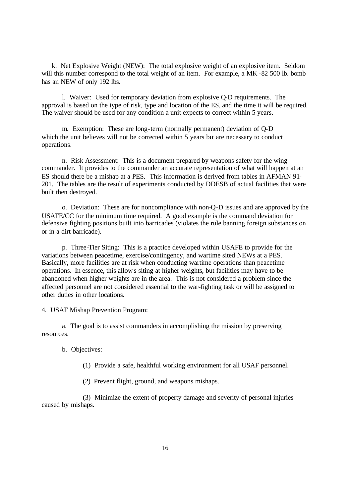k. Net Explosive Weight (NEW): The total explosive weight of an explosive item. Seldom will this number correspond to the total weight of an item. For example, a MK -82 500 lb. bomb has an NEW of only 192 lbs.

l. Waiver: Used for temporary deviation from explosive Q-D requirements. The approval is based on the type of risk, type and location of the ES, and the time it will be required. The waiver should be used for any condition a unit expects to correct within 5 years.

m. Exemption: These are long-term (normally permanent) deviation of Q-D which the unit believes will not be corrected within 5 years but are necessary to conduct operations.

n. Risk Assessment: This is a document prepared by weapons safety for the wing commander. It provides to the commander an accurate representation of what will happen at an ES should there be a mishap at a PES. This information is derived from tables in AFMAN 91- 201. The tables are the result of experiments conducted by DDESB of actual facilities that were built then destroyed.

o. Deviation: These are for noncompliance with non-Q-D issues and are approved by the USAFE/CC for the minimum time required. A good example is the command deviation for defensive fighting positions built into barricades (violates the rule banning foreign substances on or in a dirt barricade).

p. Three-Tier Siting: This is a practice developed within USAFE to provide for the variations between peacetime, exercise/contingency, and wartime sited NEWs at a PES. Basically, more facilities are at risk when conducting wartime operations than peacetime operations. In essence, this allows siting at higher weights, but facilities may have to be abandoned when higher weights are in the area. This is not considered a problem since the affected personnel are not considered essential to the war-fighting task or will be assigned to other duties in other locations.

4. USAF Mishap Prevention Program:

a. The goal is to assist commanders in accomplishing the mission by preserving resources.

#### b. Objectives:

(1) Provide a safe, healthful working environment for all USAF personnel.

(2) Prevent flight, ground, and weapons mishaps.

(3) Minimize the extent of property damage and severity of personal injuries caused by mishaps.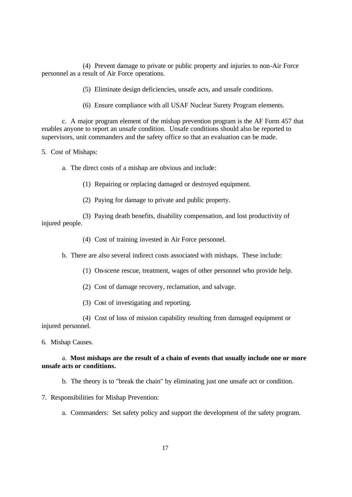(4) Prevent damage to private or public property and injuries to non-Air Force personnel as a result of Air Force operations.

(5) Eliminate design deficiencies, unsafe acts, and unsafe conditions.

(6) Ensure compliance with all USAF Nuclear Surety Program elements.

c. A major program element of the mishap prevention program is the AF Form 457 that enables anyone to report an unsafe condition. Unsafe conditions should also be reported to supervisors, unit commanders and the safety office so that an evaluation can be made.

5. Cost of Mishaps:

a. The direct costs of a mishap are obvious and include:

(1) Repairing or replacing damaged or destroyed equipment.

(2) Paying for damage to private and public property.

(3) Paying death benefits, disability compensation, and lost productivity of injured people.

(4) Cost of training invested in Air Force personnel.

b. There are also several indirect costs associated with mishaps. These include:

(1) On-scene rescue, treatment, wages of other personnel who provide help.

(2) Cost of damage recovery, reclamation, and salvage.

(3) Cost of investigating and reporting.

(4) Cost of loss of mission capability resulting from damaged equipment or injured personnel.

6. Mishap Causes.

## a. **Most mishaps are the result of a chain of events that usually include one or more unsafe acts or conditions.**

b. The theory is to "break the chain" by eliminating just one unsafe act or condition.

7. Responsibilities for Mishap Prevention:

a. Commanders: Set safety policy and support the development of the safety program.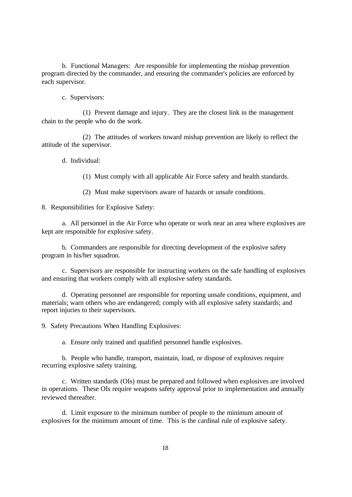b. Functional Managers: Are responsible for implementing the mishap prevention program directed by the commander, and ensuring the commander's policies are enforced by each supervisor.

c. Supervisors:

(1) Prevent damage and injury. They are the closest link in the management chain to the people who do the work.

(2) The attitudes of workers toward mishap prevention are likely to reflect the attitude of the supervisor.

d. Individual:

(1) Must comply with all applicable Air Force safety and health standards.

(2) Must make supervisors aware of hazards or unsafe conditions.

8. Responsibilities for Explosive Safety:

a. All personnel in the Air Force who operate or work near an area where explosives are kept are responsible for explosive safety.

b. Commanders are responsible for directing development of the explosive safety program in his/her squadron.

c. Supervisors are responsible for instructing workers on the safe handling of explosives and ensuring that workers comply with all explosive safety standards.

d. Operating personnel are responsible for reporting unsafe conditions, equipment, and materials; warn others who are endangered; comply with all explosive safety standards; and report injuries to their supervisors.

9. Safety Precautions When Handling Explosives:

a. Ensure only trained and qualified personnel handle explosives.

b. People who handle, transport, maintain, load, or dispose of explosives require recurring explosive safety training.

c. Written standards (OIs) must be prepared and followed when explosives are involved in operations. These OIs require weapons safety approval prior to implementation and annually reviewed thereafter.

d. Limit exposure to the minimum number of people to the minimum amount of explosives for the minimum amount of time. This is the cardinal rule of explosive safety.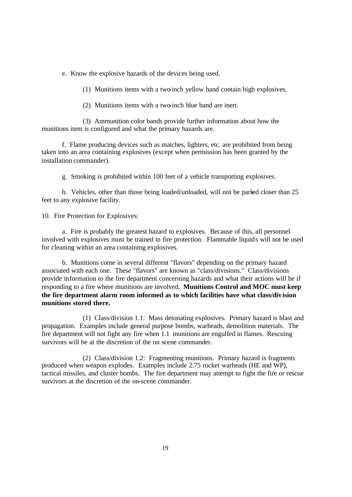e. Know the explosive hazards of the devices being used.

(1) Munitions items with a two-inch yellow band contain high explosives.

(2) Munitions items with a two-inch blue band are inert.

(3) Ammunition color bands provide further information about how the munitions item is configured and what the primary hazards are.

f. Flame producing devices such as matches, lighters, etc. are prohibited from being taken into an area containing explosives (except when permission has been granted by the installation commander).

g. Smoking is prohibited within 100 feet of a vehicle transporting explosives.

h. Vehicles, other than those being loaded/unloaded, will not be parked closer than 25 feet to any explosive facility.

10. Fire Protection for Explosives:

a. Fire is probably the greatest hazard to explosives. Because of this, all personnel involved with explosives must be trained in fire protection. Flammable liquids will not be used for cleaning within an area containing explosives.

b. Munitions come in several different "flavors" depending on the primary hazard associated with each one. These "flavors" are known as "class/divisions." Class/divisions provide information to the fire department concerning hazards and what their actions will be if responding to a fire where munitions are involved. **Munitions Control and MOC must keep the fire department alarm room informed as to which facilities have what class/division munitions stored there.**

(1) Class/division 1.1: Mass detonating explosives. Primary hazard is blast and propagation. Examples include general purpose bombs, warheads, demolition materials. The fire department will not fight any fire when 1.1 munitions are engulfed in flames. Rescuing survivors will be at the discretion of the on scene commander.

(2) Class/division 1.2: Fragmenting munitions. Primary hazard is fragments produced when weapon explodes. Examples include 2.75 rocket warheads (HE and WP), tactical missiles, and cluster bombs. The fire department may attempt to fight the fire or rescue survivors at the discretion of the on-scene commander.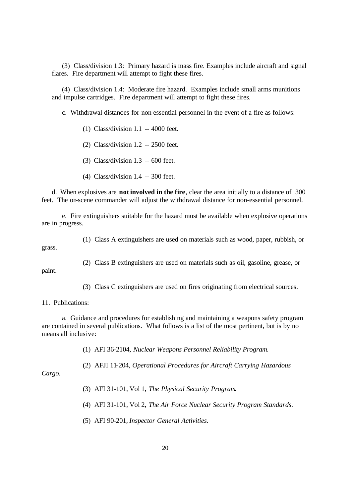(3) Class/division 1.3: Primary hazard is mass fire. Examples include aircraft and signal flares. Fire department will attempt to fight these fires.

(4) Class/division 1.4: Moderate fire hazard. Examples include small arms munitions and impulse cartridges. Fire department will attempt to fight these fires.

c. Withdrawal distances for non-essential personnel in the event of a fire as follows:

(1) Class/division 1.1 -- 4000 feet.

(2) Class/division 1.2 -- 2500 feet.

(3) Class/division 1.3 -- 600 feet.

(4) Class/division 1.4 -- 300 feet.

d. When explosives are **not involved in the fire**, clear the area initially to a distance of 300 feet. The on-scene commander will adjust the withdrawal distance for non-essential personnel.

e. Fire extinguishers suitable for the hazard must be available when explosive operations are in progress.

grass.

(1) Class A extinguishers are used on materials such as wood, paper, rubbish, or

(2) Class B extinguishers are used on materials such as oil, gasoline, grease, or

paint.

(3) Class C extinguishers are used on fires originating from electrical sources.

11. Publications:

a. Guidance and procedures for establishing and maintaining a weapons safety program are contained in several publications. What follows is a list of the most pertinent, but is by no means all inclusive:

(1) AFI 36-2104, *Nuclear Weapons Personnel Reliability Program.*

(2) AFJI 11-204, *Operational Procedures for Aircraft Carrying Hazardous* 

*Cargo.*

- (3) AFI 31-101, Vol 1, *The Physical Security Program*.
- (4) AFI 31-101, Vol 2, *The Air Force Nuclear Security Program Standards*.
- (5) AFI 90-201, *Inspector General Activities*.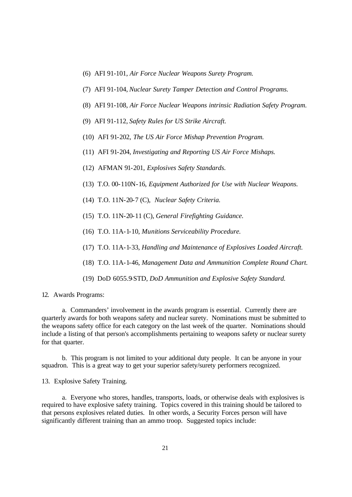- (6) AFI 91-101, *Air Force Nuclear Weapons Surety Program.*
- (7) AFI 91-104, *Nuclear Surety Tamper Detection and Control Programs.*
- (8) AFI 91-108, *Air Force Nuclear Weapons intrinsic Radiation Safety Program.*
- (9) AFI 91-112, *Safety Rules for US Strike Aircraft.*
- (10) AFI 91-202, *The US Air Force Mishap Prevention Program.*
- (11) AFI 91-204, *Investigating and Reporting US Air Force Mishaps.*
- (12) AFMAN 91-201, *Explosives Safety Standards.*
- (13) T.O. 00-110N-16, *Equipment Authorized for Use with Nuclear Weapons.*
- (14) T.O. 11N-20-7 (C), *Nuclear Safety Criteria.*
- (15) T.O. 11N-20-11 (C), *General Firefighting Guidance.*
- (16) T.O. 11A-1-10, *Munitions Serviceability Procedure.*
- (17) T.O. 11A-1-33, *Handling and Maintenance of Explosives Loaded Aircraft.*
- (18) T.O. 11A-1-46, *Management Data and Ammunition Complete Round Chart.*
- (19) DoD 6055.9-STD, *DoD Ammunition and Explosive Safety Standard.*

#### 12. Awards Programs:

a. Commanders' involvement in the awards program is essential. Currently there are quarterly awards for both weapons safety and nuclear surety. Nominations must be submitted to the weapons safety office for each category on the last week of the quarter. Nominations should include a listing of that person's accomplishments pertaining to weapons safety or nuclear surety for that quarter.

b. This program is not limited to your additional duty people. It can be anyone in your squadron. This is a great way to get your superior safety/surety performers recognized.

13. Explosive Safety Training.

a. Everyone who stores, handles, transports, loads, or otherwise deals with explosives is required to have explosive safety training. Topics covered in this training should be tailored to that persons explosives related duties. In other words, a Security Forces person will have significantly different training than an ammo troop. Suggested topics include: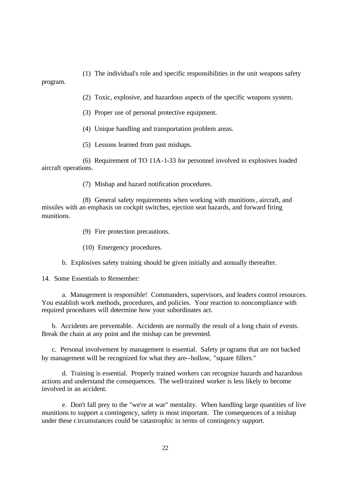(1) The individual's role and specific responsibilities in the unit weapons safety

program.

(2) Toxic, explosive, and hazardous aspects of the specific weapons system.

(3) Proper use of personal protective equipment.

(4) Unique handling and transportation problem areas.

(5) Lessons learned from past mishaps.

(6) Requirement of TO 11A-1-33 for personnel involved in explosives loaded aircraft operations.

(7) Mishap and hazard notification procedures.

(8) General safety requirements when working with munitions, aircraft, and missiles with an emphasis on cockpit switches, ejection seat hazards, and forward firing munitions.

(9) Fire protection precautions.

(10) Emergency procedures.

b. Explosives safety training should be given initially and annually thereafter.

14. Some Essentials to Remember:

a. Management is responsible! Commanders, supervisors, and leaders control resources. You establish work methods, procedures, and policies. Your reaction to noncompliance with required procedures will determine how your subordinates act.

b. Accidents are preventable. Accidents are normally the result of a long chain of events. Break the chain at any point and the mishap can be prevented.

c. Personal involvement by management is essential. Safety pr ograms that are not backed by management will be recognized for what they are--hollow, "square fillers."

d. Training is essential. Properly trained workers can recognize hazards and hazardous actions and understand the consequences. The well-trained worker is less likely to become involved in an accident.

e. Don't fall prey to the "we're at war" mentality. When handling large quantities of live munitions to support a contingency, safety is most important. The consequences of a mishap under these c ircumstances could be catastrophic in terms of contingency support.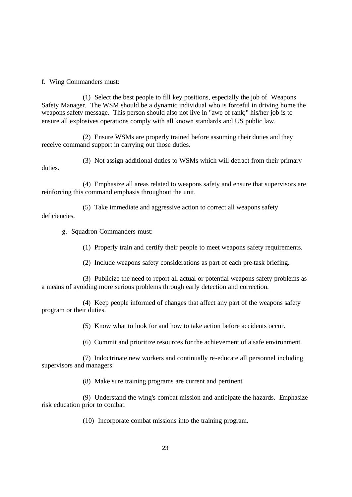f. Wing Commanders must:

(1) Select the best people to fill key positions, especially the job of Weapons Safety Manager. The WSM should be a dynamic individual who is forceful in driving home the weapons safety message. This person should also not live in "awe of rank;" his/her job is to ensure all explosives operations comply with all known standards and US public law.

(2) Ensure WSMs are properly trained before assuming their duties and they receive command support in carrying out those duties.

(3) Not assign additional duties to WSMs which will detract from their primary duties.

(4) Emphasize all areas related to weapons safety and ensure that supervisors are reinforcing this command emphasis throughout the unit.

(5) Take immediate and aggressive action to correct all weapons safety deficiencies.

g. Squadron Commanders must:

(1) Properly train and certify their people to meet weapons safety requirements.

(2) Include weapons safety considerations as part of each pre-task briefing.

(3) Publicize the need to report all actual or potential weapons safety problems as a means of avoiding more serious problems through early detection and correction.

(4) Keep people informed of changes that affect any part of the weapons safety program or their duties.

(5) Know what to look for and how to take action before accidents occur.

(6) Commit and prioritize resources for the achievement of a safe environment.

(7) Indoctrinate new workers and continually re-educate all personnel including supervisors and managers.

(8) Make sure training programs are current and pertinent.

(9) Understand the wing's combat mission and anticipate the hazards. Emphasize risk education prior to combat.

(10) Incorporate combat missions into the training program.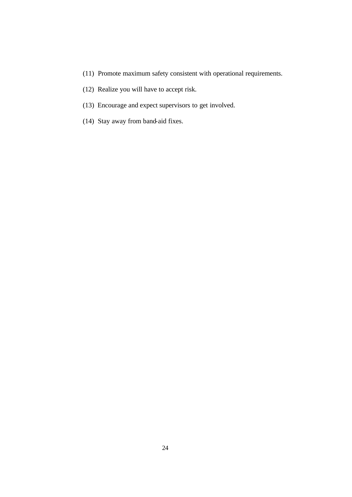- (11) Promote maximum safety consistent with operational requirements.
- (12) Realize you will have to accept risk.
- (13) Encourage and expect supervisors to get involved.
- (14) Stay away from band-aid fixes.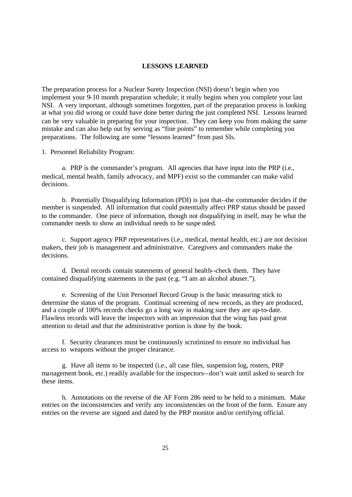### **LESSONS LEARNED**

The preparation process for a Nuclear Surety Inspection (NSI) doesn't begin when you implement your 9-10 month preparation schedule; it really begins when you complete your last NSI. A very important, although sometimes forgotten, part of the preparation process is looking at what you did wrong or could have done better during the just completed NSI. Lessons learned can be very valuable in preparing for your inspection. They can keep you from making the same mistake and can also help out by serving as "fine points" to remember while completing you preparations. The following are some "lessons learned" from past SIs.

1. Personnel Reliability Program:

a. PRP is the commander's program. All agencies that have input into the PRP (i.e., medical, mental health, family advocacy, and MPF) exist so the commander can make valid decisions.

b. Potentially Disqualifying Information (PDI) is just that--the commander decides if the member is suspended. All information that could potentially affect PRP status should be passed to the commander. One piece of information, though not disqualifying in itself, may be what the commander needs to show an individual needs to be suspe nded.

c. Support agency PRP representatives (i.e., medical, mental health, etc.) are not decision makers, their job is management and administrative. Caregivers and commanders make the decisions.

d. Dental records contain statements of general health--check them. They have contained disqualifying statements in the past (e.g. "I am an alcohol abuser.").

e. Screening of the Unit Personnel Record Group is the basic measuring stick to determine the status of the program. Continual screening of new records, as they are produced, and a couple of 100% records checks go a long way in making sure they are up-to-date. Flawless records will leave the inspectors with an impression that the wing has paid great attention to detail and that the administrative portion is done by the book.

f. Security clearances must be continuously scrutinized to ensure no individual has access to weapons without the proper clearance.

g. Have all items to be inspected (i.e., all case files, suspension log, rosters, PRP management book, etc.) readily available for the inspectors--don't wait until asked to search for these items.

h. Annotations on the reverse of the AF Form 286 need to be held to a minimum. Make entries on the inconsistencies and verify any inconsistencies on the front of the form. Ensure any entries on the reverse are signed and dated by the PRP monitor and/or certifying official.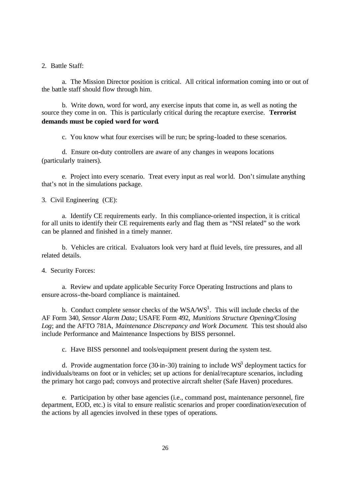2. Battle Staff:

a. The Mission Director position is critical. All critical information coming into or out of the battle staff should flow through him.

b. Write down, word for word, any exercise inputs that come in, as well as noting the source they come in on. This is particularly critical during the recapture exercise. **Terrorist demands must be copied word for word.**

c. You know what four exercises will be run; be spring-loaded to these scenarios.

d. Ensure on-duty controllers are aware of any changes in weapons locations (particularly trainers).

e. Project into every scenario. Treat every input as real world. Don't simulate anything that's not in the simulations package.

3. Civil Engineering (CE):

a. Identify CE requirements early. In this compliance-oriented inspection, it is critical for all units to identify their CE requirements early and flag them as "NSI related" so the work can be planned and finished in a timely manner.

b. Vehicles are critical. Evaluators look very hard at fluid levels, tire pressures, and all related details.

4. Security Forces:

a. Review and update applicable Security Force Operating Instructions and plans to ensure across-the-board compliance is maintained.

b. Conduct complete sensor checks of the WSA/WS<sup>3</sup>. This will include checks of the AF Form 340*, Sensor Alarm Data*; USAFE Form 492, *Munitions Structure Opening/Closing Log*; and the AFTO 781A, *Maintenance Discrepancy and Work Document*. This test should also include Performance and Maintenance Inspections by BISS personnel.

c. Have BISS personnel and tools/equipment present during the system test.

d. Provide augmentation force (30-in-30) training to include  $WS^3$  deployment tactics for individuals/teams on foot or in vehicles; set up actions for denial/recapture scenarios, including the primary hot cargo pad; convoys and protective aircraft shelter (Safe Haven) procedures.

e. Participation by other base agencies (i.e., command post, maintenance personnel, fire department, EOD, etc.) is vital to ensure realistic scenarios and proper coordination/execution of the actions by all agencies involved in these types of operations.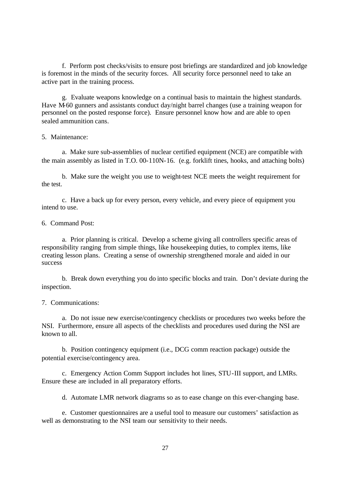f. Perform post checks/visits to ensure post briefings are standardized and job knowledge is foremost in the minds of the security forces. All security force personnel need to take an active part in the training process.

g. Evaluate weapons knowledge on a continual basis to maintain the highest standards. Have M-60 gunners and assistants conduct day/night barrel changes (use a training weapon for personnel on the posted response force). Ensure personnel know how and are able to open sealed ammunition cans.

## 5. Maintenance:

a. Make sure sub-assemblies of nuclear certified equipment (NCE) are compatible with the main assembly as listed in T.O. 00-110N-16. (e.g. forklift tines, hooks, and attaching bolts)

b. Make sure the weight you use to weight-test NCE meets the weight requirement for the test.

c. Have a back up for every person, every vehicle, and every piece of equipment you intend to use.

# 6. Command Post:

a. Prior planning is critical. Develop a scheme giving all controllers specific areas of responsibility ranging from simple things, like housekeeping duties, to complex items, like creating lesson plans. Creating a sense of ownership strengthened morale and aided in our success

b. Break down everything you do into specific blocks and train. Don't deviate during the inspection.

## 7. Communications:

a. Do not issue new exercise/contingency checklists or procedures two weeks before the NSI. Furthermore, ensure all aspects of the checklists and procedures used during the NSI are known to all.

b. Position contingency equipment (i.e., DCG comm reaction package) outside the potential exercise/contingency area.

c. Emergency Action Comm Support includes hot lines, STU-III support, and LMRs. Ensure these are included in all preparatory efforts.

d. Automate LMR network diagrams so as to ease change on this ever-changing base.

e. Customer questionnaires are a useful tool to measure our customers' satisfaction as well as demonstrating to the NSI team our sensitivity to their needs.